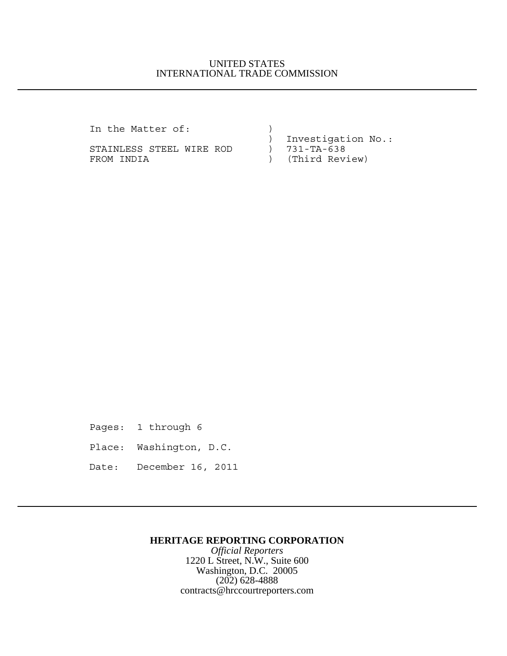## UNITED STATES INTERNATIONAL TRADE COMMISSION

In the Matter of:  $)$ 

STAINLESS STEEL WIRE ROD ) 731-TA-638 FROM INDIA (Third Review)

) Investigation No.:

Pages: 1 through 6

Place: Washington, D.C.

Date: December 16, 2011

### **HERITAGE REPORTING CORPORATION**

*Official Reporters* 1220 L Street, N.W., Suite 600 Washington, D.C. 20005 (202) 628-4888 contracts@hrccourtreporters.com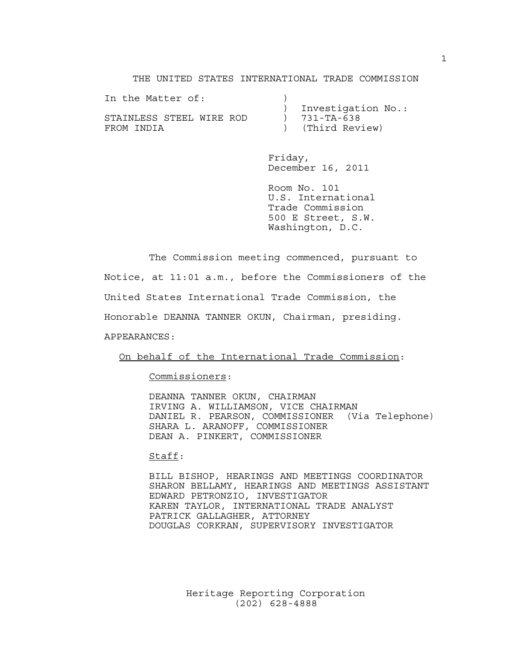THE UNITED STATES INTERNATIONAL TRADE COMMISSION

| In the Matter of:        |                    |
|--------------------------|--------------------|
|                          | Investigation No.: |
| STAINLESS STEEL WIRE ROD | $731 - TA - 638$   |
| FROM INDIA               | ) (Third Review)   |

Friday, December 16, 2011

Room No. 101 U.S. International Trade Commission 500 E Street, S.W. Washington, D.C.

The Commission meeting commenced, pursuant to Notice, at 11:01 a.m., before the Commissioners of the United States International Trade Commission, the Honorable DEANNA TANNER OKUN, Chairman, presiding. APPEARANCES:

On behalf of the International Trade Commission:

Commissioners:

DEANNA TANNER OKUN, CHAIRMAN IRVING A. WILLIAMSON, VICE CHAIRMAN DANIEL R. PEARSON, COMMISSIONER (Via Telephone) SHARA L. ARANOFF, COMMISSIONER DEAN A. PINKERT, COMMISSIONER

### Staff:

BILL BISHOP, HEARINGS AND MEETINGS COORDINATOR SHARON BELLAMY, HEARINGS AND MEETINGS ASSISTANT EDWARD PETRONZIO, INVESTIGATOR KAREN TAYLOR, INTERNATIONAL TRADE ANALYST PATRICK GALLAGHER, ATTORNEY DOUGLAS CORKRAN, SUPERVISORY INVESTIGATOR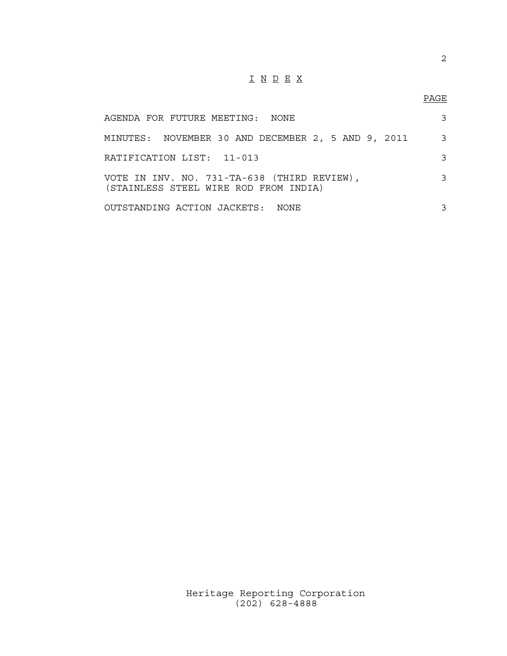# I N D E X

## PAGE

| AGENDA FOR FUTURE MEETING:  NONE                                                     | 3 |
|--------------------------------------------------------------------------------------|---|
| MINUTES: NOVEMBER 30 AND DECEMBER 2, 5 AND 9, 2011                                   | 3 |
| RATIFICATION LIST: 11-013                                                            | 3 |
| VOTE IN INV. NO. 731-TA-638 (THIRD REVIEW),<br>(STAINLESS STEEL WIRE ROD FROM INDIA) | 3 |
| OUTSTANDING ACTION JACKETS: NONE                                                     | 3 |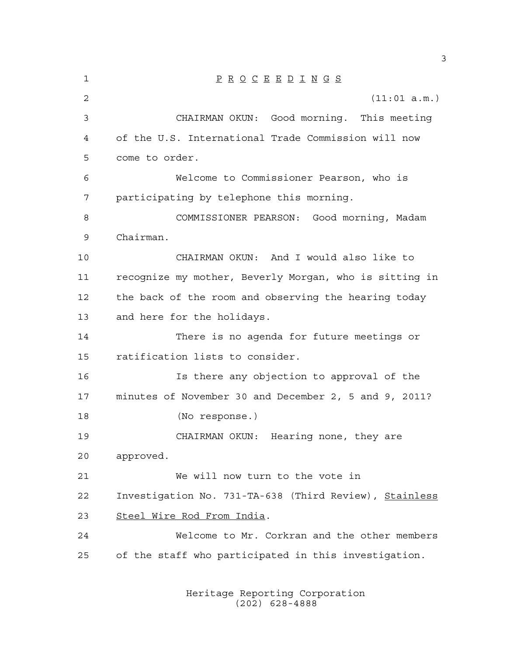| 1  | $\underline{P} \underline{R} \underline{O} \underline{C} \underline{E} \underline{E} \underline{D} \underline{I} \underline{N} \underline{G} \underline{S}$ |
|----|-------------------------------------------------------------------------------------------------------------------------------------------------------------|
| 2  | (11:01 a.m.)                                                                                                                                                |
| 3  | CHAIRMAN OKUN: Good morning. This meeting                                                                                                                   |
| 4  | of the U.S. International Trade Commission will now                                                                                                         |
| 5  | come to order.                                                                                                                                              |
| 6  | Welcome to Commissioner Pearson, who is                                                                                                                     |
| 7  | participating by telephone this morning.                                                                                                                    |
| 8  | COMMISSIONER PEARSON: Good morning, Madam                                                                                                                   |
| 9  | Chairman.                                                                                                                                                   |
| 10 | CHAIRMAN OKUN: And I would also like to                                                                                                                     |
| 11 | recognize my mother, Beverly Morgan, who is sitting in                                                                                                      |
| 12 | the back of the room and observing the hearing today                                                                                                        |
| 13 | and here for the holidays.                                                                                                                                  |
| 14 | There is no agenda for future meetings or                                                                                                                   |
| 15 | ratification lists to consider.                                                                                                                             |
| 16 | Is there any objection to approval of the                                                                                                                   |
| 17 | minutes of November 30 and December 2, 5 and 9, 2011?                                                                                                       |
| 18 | (No response.)                                                                                                                                              |
| 19 | CHAIRMAN OKUN: Hearing none, they are                                                                                                                       |
| 20 | approved.                                                                                                                                                   |
| 21 | We will now turn to the vote in                                                                                                                             |
| 22 | Investigation No. 731-TA-638 (Third Review), Stainless                                                                                                      |
| 23 | Steel Wire Rod From India.                                                                                                                                  |
| 24 | Welcome to Mr. Corkran and the other members                                                                                                                |
| 25 | of the staff who participated in this investigation.                                                                                                        |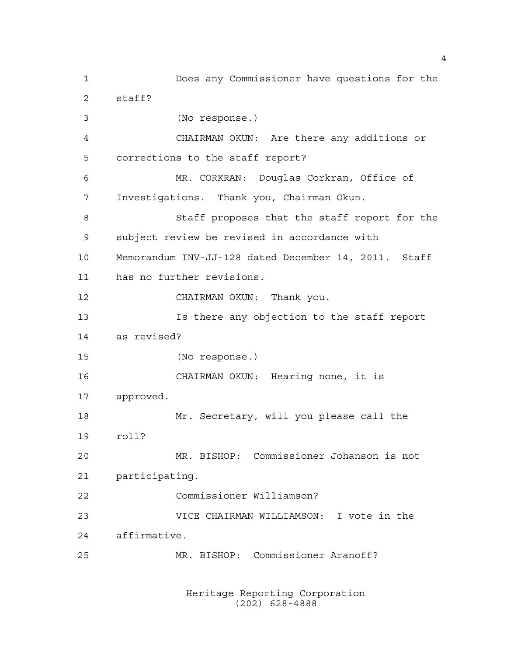Does any Commissioner have questions for the staff? (No response.) CHAIRMAN OKUN: Are there any additions or corrections to the staff report? MR. CORKRAN: Douglas Corkran, Office of Investigations. Thank you, Chairman Okun. Staff proposes that the staff report for the subject review be revised in accordance with Memorandum INV-JJ-128 dated December 14, 2011. Staff has no further revisions. CHAIRMAN OKUN: Thank you. Is there any objection to the staff report as revised? (No response.) CHAIRMAN OKUN: Hearing none, it is approved. Mr. Secretary, will you please call the roll? MR. BISHOP: Commissioner Johanson is not participating. Commissioner Williamson? VICE CHAIRMAN WILLIAMSON: I vote in the affirmative. MR. BISHOP: Commissioner Aranoff?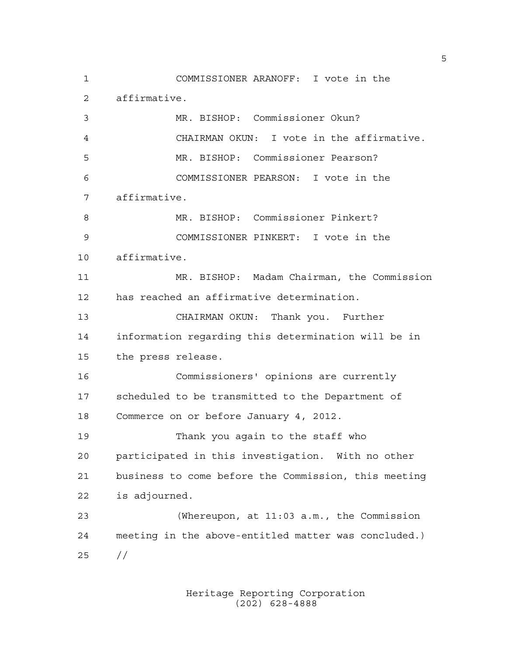COMMISSIONER ARANOFF: I vote in the affirmative. MR. BISHOP: Commissioner Okun? CHAIRMAN OKUN: I vote in the affirmative. MR. BISHOP: Commissioner Pearson? COMMISSIONER PEARSON: I vote in the affirmative. MR. BISHOP: Commissioner Pinkert? COMMISSIONER PINKERT: I vote in the affirmative. MR. BISHOP: Madam Chairman, the Commission has reached an affirmative determination. CHAIRMAN OKUN: Thank you. Further information regarding this determination will be in the press release. Commissioners' opinions are currently scheduled to be transmitted to the Department of Commerce on or before January 4, 2012. Thank you again to the staff who participated in this investigation. With no other business to come before the Commission, this meeting is adjourned. (Whereupon, at 11:03 a.m., the Commission meeting in the above-entitled matter was concluded.) //

> Heritage Reporting Corporation (202) 628-4888